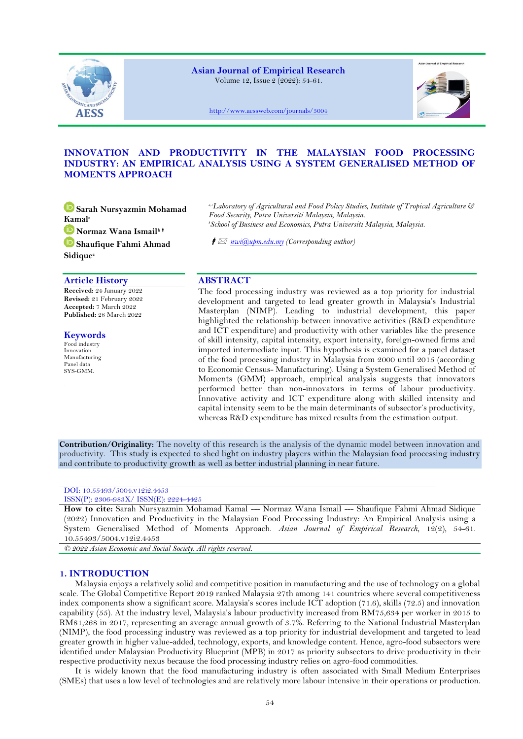

**Asian Journal of Empirical Research** Volume 12, Issue 2 (2022): 54-61.



<http://www.aessweb.com/journals/5004>

# **INNOVATION AND PRODUCTIVITY IN THE MALAYSIAN FOOD PROCESSING INDUSTRY: AN EMPIRICAL ANALYSIS USING A SYSTEM GENERALISED METHOD OF MOMENTS APPROACH**

**[S](https://orcid.org/0000-0002-6294-0319)arah Nursyazmin Mohamad Kamal<sup>a</sup> [N](https://orcid.org/0000-0002-0865-256X)ormaz Wana Ismailb [S](https://orcid.org/0000-0002-7545-2816)haufique Fahmi Ahmad Sidique<sup>c</sup>**

# **Article History ABSTRACT**

**Received:** 24 January 2022 **Revised:** 21 February 2022 **Accepted:** 7 March 2022 **Published:** 28 March 2022

## **Keywords**

Food industry Innovation Manufacturing Panel data SYS-GMM.

.

*a, cLaboratory of Agricultural and Food Policy Studies, Institute of Tropical Agriculture & Food Security, Putra Universiti Malaysia, Malaysia. <sup>b</sup>School of Business and Economics, Putra Universiti Malaysia, Malaysia.*

*[nwi@upm.edu.my](mailto:nwi@upm.edu.my) (Corresponding author)*

The food processing industry was reviewed as a top priority for industrial development and targeted to lead greater growth in Malaysia's Industrial Masterplan (NIMP). Leading to industrial development, this paper highlighted the relationship between innovative activities (R&D expenditure and ICT expenditure) and productivity with other variables like the presence of skill intensity, capital intensity, export intensity, foreign-owned firms and imported intermediate input. This hypothesis is examined for a panel dataset of the food processing industry in Malaysia from 2000 until 2015 (according to Economic Census- Manufacturing). Using a System Generalised Method of Moments (GMM) approach, empirical analysis suggests that innovators performed better than non-innovators in terms of labour productivity. Innovative activity and ICT expenditure along with skilled intensity and capital intensity seem to be the main determinants of subsector's productivity, whereas R&D expenditure has mixed results from the estimation output.

**Contribution/Originality:** The novelty of this research is the analysis of the dynamic model between innovation and productivity. This study is expected to shed light on industry players within the Malaysian food processing industry and contribute to productivity growth as well as better industrial planning in near future.

# DOI: 10.55493/5004.v12i2.4453

#### ISSN(P): 2306-983X/ ISSN(E): 2224-4425

**How to cite:** Sarah Nursyazmin Mohamad Kamal --- Normaz Wana Ismail --- Shaufique Fahmi Ahmad Sidique (2022) Innovation and Productivity in the Malaysian Food Processing Industry: An Empirical Analysis using a System Generalised Method of Moments Approach. *Asian Journal of Empirical Research*, 12(2), 54-61. 10.55493/5004.v12i2.4453

*© 2022 Asian Economic and Social Society. All rights reserved.*

# **1. INTRODUCTION**

Malaysia enjoys a relatively solid and competitive position in manufacturing and the use of technology on a global scale. The Global Competitive Report 2019 ranked Malaysia 27th among 141 countries where several competitiveness index components show a significant score. Malaysia's scores include ICT adoption (71.6), skills (72.5) and innovation capability (55). At the industry level, Malaysia's labour productivity increased from RM75,634 per worker in 2015 to RM81,268 in 2017, representing an average annual growth of 3.7%. Referring to the National Industrial Masterplan (NIMP), the food processing industry was reviewed as a top priority for industrial development and targeted to lead greater growth in higher value-added, technology, exports, and knowledge content. Hence, agro-food subsectors were identified under Malaysian Productivity Blueprint (MPB) in 2017 as priority subsectors to drive productivity in their respective productivity nexus because the food processing industry relies on agro-food commodities.

It is widely known that the food manufacturing industry is often associated with Small Medium Enterprises (SMEs) that uses a low level of technologies and are relatively more labour intensive in their operations or production.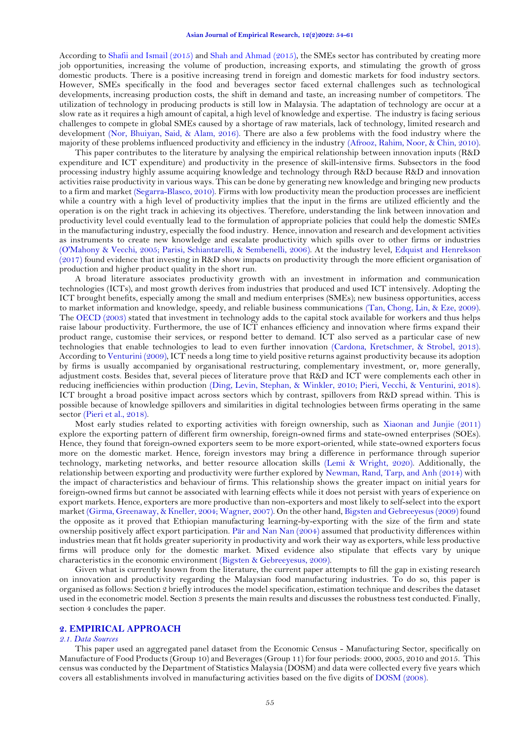According to [Shafii and Ismail \(2015\)](#page-6-0) an[d Shah and Ahmad \(2015\),](#page-6-1) the SMEs sector has contributed by creating more job opportunities, increasing the volume of production, increasing exports, and stimulating the growth of gross domestic products. There is a positive increasing trend in foreign and domestic markets for food industry sectors. However, SMEs specifically in the food and beverages sector faced external challenges such as technological developments, increasing production costs, the shift in demand and taste, an increasing number of competitors. The utilization of technology in producing products is still low in Malaysia. The adaptation of technology are occur at a slow rate as it requires a high amount of capital, a high level of knowledge and expertise. The industry is facing serious challenges to compete in global SMEs caused by a shortage of raw materials, lack of technology, limited research and development [\(Nor, Bhuiyan, Said, & Alam, 2016\)](#page-6-2). There are also a few problems with the food industry where the majority of these problems influenced productivity and efficiency in the industry [\(Afrooz, Rahim, Noor, & Chin, 2010\)](#page-5-0).

This paper contributes to the literature by analysing the empirical relationship between innovation inputs (R&D expenditure and ICT expenditure) and productivity in the presence of skill-intensive firms. Subsectors in the food processing industry highly assume acquiring knowledge and technology through R&D because R&D and innovation activities raise productivity in various ways. This can be done by generating new knowledge and bringing new products to a firm and market [\(Segarra-Blasco, 2010\)](#page-6-3). Firms with low productivity mean the production processes are inefficient while a country with a high level of productivity implies that the input in the firms are utilized efficiently and the operation is on the right track in achieving its objectives. Therefore, understanding the link between innovation and productivity level could eventually lead to the formulation of appropriate policies that could help the domestic SMEs in the manufacturing industry, especially the food industry. Hence, innovation and research and development activities as instruments to create new knowledge and escalate productivity which spills over to other firms or industries [\(O'Mahony & Vecchi, 2005;](#page-6-4) [Parisi, Schiantarelli, & Sembenelli, 2006\)](#page-6-5). At the industry level, [Edquist and Henrekson](#page-5-1)  [\(2017\)](#page-5-1) found evidence that investing in R&D show impacts on productivity through the more efficient organisation of production and higher product quality in the short run.

A broad literature associates productivity growth with an investment in information and communication technologies (ICTs), and most growth derives from industries that produced and used ICT intensively. Adopting the ICT brought benefits, especially among the small and medium enterprises (SMEs); new business opportunities, access to market information and knowledge, speedy, and reliable business communications [\(Tan, Chong, Lin, & Eze, 2009\)](#page-6-6). The [OECD \(2003\)](#page-6-7) stated that investment in technology adds to the capital stock available for workers and thus helps raise labour productivity. Furthermore, the use of ICT enhances efficiency and innovation where firms expand their product range, customise their services, or respond better to demand. ICT also served as a particular case of new technologies that enable technologies to lead to even further innovation [\(Cardona, Kretschmer, & Strobel, 2013\)](#page-5-2). According t[o Venturini \(2009\)](#page-6-8), ICT needs a long time to yield positive returns against productivity because its adoption by firms is usually accompanied by organisational restructuring, complementary investment, or, more generally, adjustment costs. Besides that, several pieces of literature prove that R&D and ICT were complements each other in reducing inefficiencies within production [\(Ding, Levin, Stephan, & Winkler, 2010;](#page-5-3) [Pieri, Vecchi, & Venturini, 2018\)](#page-6-9). ICT brought a broad positive impact across sectors which by contrast, spillovers from R&D spread within. This is possible because of knowledge spillovers and similarities in digital technologies between firms operating in the same sector [\(Pieri et al., 2018\)](#page-6-9).

Most early studies related to exporting activities with foreign ownership, such as [Xiaonan and Junjie \(2011\)](#page-6-10) explore the exporting pattern of different firm ownership, foreign-owned firms and state-owned enterprises (SOEs). Hence, they found that foreign-owned exporters seem to be more export-oriented, while state-owned exporters focus more on the domestic market. Hence, foreign investors may bring a difference in performance through superior technology, marketing networks, and better resource allocation skills [\(Lemi & Wright, 2020\)](#page-6-11). Additionally, the relationship between exporting and productivity were further explored by [Newman, Rand, Tarp, and Anh \(2014\)](#page-6-12) with the impact of characteristics and behaviour of firms. This relationship shows the greater impact on initial years for foreign-owned firms but cannot be associated with learning effects while it does not persist with years of experience on export markets. Hence, exporters are more productive than non-exporters and most likely to self-select into the export market [\(Girma, Greenaway, & Kneller, 2004;](#page-6-13) [Wagner, 2007\)](#page-6-14). On the other hand[, Bigsten and Gebreeyesus \(2009\)](#page-5-4) found the opposite as it proved that Ethiopian manufacturing learning-by-exporting with the size of the firm and state ownership positively affect export participation. [Pär and Nan Nan \(2004\)](#page-6-15) assumed that productivity differences within industries mean that fit holds greater superiority in productivity and work their way as exporters, while less productive firms will produce only for the domestic market. Mixed evidence also stipulate that effects vary by unique characteristics in the economic environment [\(Bigsten & Gebreeyesus, 2009\)](#page-5-4).

Given what is currently known from the literature, the current paper attempts to fill the gap in existing research on innovation and productivity regarding the Malaysian food manufacturing industries. To do so, this paper is organised as follows: Section 2 briefly introduces the model specification, estimation technique and describes the dataset used in the econometric model. Section 3 presents the main results and discusses the robustness test conducted. Finally, section 4 concludes the paper.

# **2. EMPIRICAL APPROACH**

# *2.1. Data Sources*

This paper used an aggregated panel dataset from the Economic Census - Manufacturing Sector, specifically on Manufacture of Food Products (Group 10) and Beverages (Group 11) for four periods: 2000, 2005, 2010 and 2015. This census was conducted by the Department of Statistics Malaysia (DOSM) and data were collected every five years which covers all establishments involved in manufacturing activities based on the five digits of [DOSM \(2008\)](#page-5-5).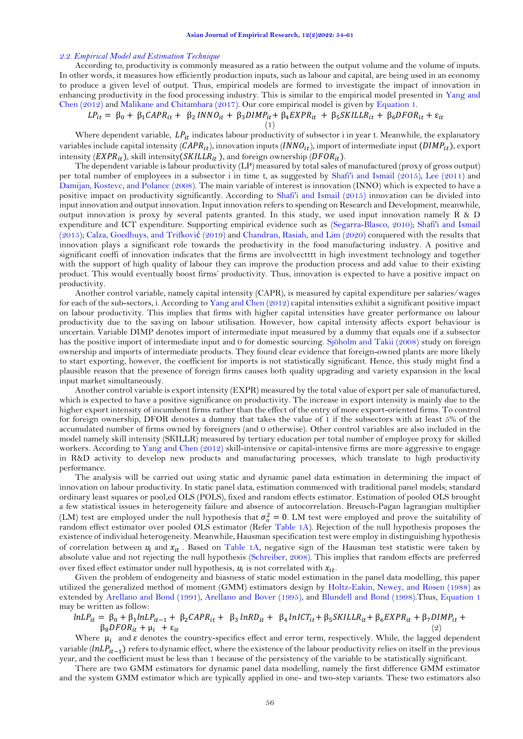#### *2.2. Empirical Model and Estimation Technique*

According to, productivity is commonly measured as a ratio between the output volume and the volume of inputs. In other words, it measures how efficiently production inputs, such as labour and capital, are being used in an economy to produce a given level of output. Thus, empirical models are formed to investigate the impact of innovation in enhancing productivity in the food processing industry. This is similar to the empirical model presented in [Yang and](#page-6-16)  [Chen \(2012\)](#page-6-16) and [Malikane and Chitambara \(2017\)](#page-6-17). Our core empirical model is given by Equation 1.

<span id="page-2-0"></span>
$$
LP_{it} = \beta_0 + \beta_1 \text{CAPR}_{it} + \beta_2 \text{INN}\hat{O}_{it} + \beta_3 \text{DIMP}_{it} + \beta_4 \text{EXPR}_{it} + \beta_5 \text{SKILLR}_{it} + \beta_6 \text{DFOR}_{it} + \epsilon_{it}
$$

Where dependent variable,  $LP_{it}$  indicates labour productivity of subsector i in year t. Meanwhile, the explanatory variables include capital intensity ( $CAPR_{it}$ ), innovation inputs ( $INNO_{it}$ ), import of intermediate input ( $DIMP_{it}$ ), export intensity ( $EXPR_{it}$ ), skill intensity( $SKILLR_{it}$ ), and foreign ownership ( $DFOR_{it}$ ).

The dependent variable is labour productivity (LP) measured by total sales of manufactured (proxy of gross output) per total number of employees in a subsector i in time t, as suggested by [Shafi'i and Ismail \(2015\)](#page-6-18), [Lee \(2011\)](#page-6-1) and [Damijan, Kostevc, and Polanec \(2008\)](#page-5-6). The main variable of interest is innovation (INNO) which is expected to have a positive impact on productivity significantly. According to [Shafi'i and Ismail \(2015\)](#page-6-18) innovation can be divided into input innovation and output innovation. Input innovation refers to spending on Research and Development, meanwhile, output innovation is proxy by several patents granted. In this study, we used input innovation namely R & D expenditure and ICT expenditure. Supporting empirical evidence such as [\(Segarra-Blasco, 2010\)](#page-6-3); [Shafi'i and Ismail](#page-6-18)  [\(2015\)](#page-6-18); [Calza, Goedhuys, and Trifkovi](#page-5-7)ć (2019) an[d Chandran, Rasiah, and Lim \(2020\)](#page-5-8) conquered with the results that innovation plays a significant role towards the productivity in the food manufacturing industry. A positive and significant coeffi of innovation indicates that the firms are involvectttt in high investment technology and together with the support of high quality of labour they can improve the production process and add value to their existing product. This would eventually boost firms' productivity. Thus, innovation is expected to have a positive impact on productivity.

Another control variable, namely capital intensity (CAPR), is measured by capital expenditure per salaries/wages for each of the sub-sectors, i. According t[o Yang and Chen \(2012\)](#page-6-16) capital intensities exhibit a significant positive impact on labour productivity. This implies that firms with higher capital intensities have greater performance on labour productivity due to the saving on labour utilisation. However, how capital intensity affects export behaviour is uncertain. Variable DIMP denotes import of intermediate input measured by a dummy that equals one if a subsector has the positive import of intermediate input and 0 for domestic sourcing. [Sjöholm and Takii \(2008\)](#page-6-19) study on foreign ownership and imports of intermediate products. They found clear evidence that foreign-owned plants are more likely to start exporting, however, the coefficient for imports is not statistically significant. Hence, this study might find a plausible reason that the presence of foreign firms causes both quality upgrading and variety expansion in the local input market simultaneously.

Another control variable is export intensity (EXPR) measured by the total value of export per sale of manufactured, which is expected to have a positive significance on productivity. The increase in export intensity is mainly due to the higher export intensity of incumbent firms rather than the effect of the entry of more export-oriented firms. To control for foreign ownership, DFOR denotes a dummy that takes the value of 1 if the subsectors with at least 5% of the accumulated number of firms owned by foreigners (and 0 otherwise). Other control variables are also included in the model namely skill intensity (SKILLR) measured by tertiary education per total number of employee proxy for skilled workers. According to [Yang and Chen \(2012\)](#page-6-16) skill-intensive or capital-intensive firms are more aggressive to engage in R&D activity to develop new products and manufacturing processes, which translate to high productivity performance.

The analysis will be carried out using static and dynamic panel data estimation in determining the impact of innovation on labour productivity. In static panel data, estimation commenced with traditional panel models; standard ordinary least squares or pool,ed OLS (POLS), fixed and random effects estimator. Estimation of pooled OLS brought a few statistical issues in heterogeneity failure and absence of autocorrelation. Breusch-Pagan lagrangian multiplier (LM) test are employed under the null hypothesis that  $\sigma_u^2 = 0$ . LM test were employed and prove the suitability of random effect estimator over pooled OLS estimator (Refer [Table 1A\)](#page-2-0). Rejection of the null hypothesis proposes the existence of individual heterogeneity. Meanwhile, Hausman specification test were employ in distinguishing hypothesis of correlation between  $u_i$  and  $x_{it}$ . Based on [Table 1A,](#page-2-0) negative sign of the Hausman test statistic were taken by absolute value and not rejecting the null hypothesis [\(Schreiber, 2008\)](#page-6-20). This implies that random effects are preferred over fixed effect estimator under null hypothesis,  $u_i$  is not correlated with  $x_{it}.$ 

Given the problem of endogeneity and biasness of static model estimation in the panel data modelling, this paper utilized the generalized method of moment (GMM) estimators design by [Holtz-Eakin, Newey, and Rosen \(1988\)](#page-6-0) as extended by [Arellano and Bond \(1991\)](#page-5-9), [Arellano and Bover \(1995\)](#page-5-10), and [Blundell and Bond \(1998\)](#page-5-11).Thus, Equation 1 may be written as follow:

$$
lnLP_{it} = \beta_0 + \beta_1 lnLP_{it-1} + \beta_2 CAPR_{it} + \beta_3 lnRD_{it} + \beta_4 lnICT_{it} + \beta_5 SKILLR_{it} + \beta_6 EXPR_{it} + \beta_7 DIMP_{it} + \beta_8 DFOR_{it} + \mu_i + \varepsilon_{it}
$$
\n(2)

Where  $\mu_i$  and  $\varepsilon$  denotes the country-specifics effect and error term, respectively. While, the lagged dependent variable  $(lnLP_{it-1})$  refers to dynamic effect, where the existence of the labour productivity relies on itself in the previous year, and the coefficient must be less than 1 because of the persistency of the variable to be statistically significant.

There are two GMM estimators for dynamic panel data modelling, namely the first difference GMM estimator and the system GMM estimator which are typically applied in one- and two-step variants. These two estimators also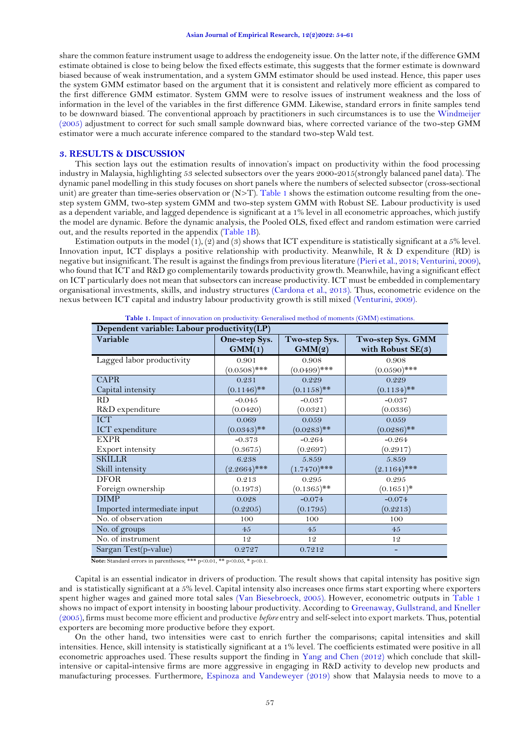share the common feature instrument usage to address the endogeneity issue. On the latter note, if the difference GMM estimate obtained is close to being below the fixed effects estimate, this suggests that the former estimate is downward biased because of weak instrumentation, and a system GMM estimator should be used instead. Hence, this paper uses the system GMM estimator based on the argument that it is consistent and relatively more efficient as compared to the first difference GMM estimator. System GMM were to resolve issues of instrument weakness and the loss of information in the level of the variables in the first difference GMM. Likewise, standard errors in finite samples tend to be downward biased. The conventional approach by practitioners in such circumstances is to use the [Windmeijer](#page-6-21)  [\(2005\)](#page-6-21) adjustment to correct for such small sample downward bias, where corrected variance of the two-step GMM estimator were a much accurate inference compared to the standard two-step Wald test.

## **3. RESULTS & DISCUSSION**

This section lays out the estimation results of innovation's impact on productivity within the food processing industry in Malaysia, highlighting 53 selected subsectors over the years 2000-2015(strongly balanced panel data). The dynamic panel modelling in this study focuses on short panels where the numbers of selected subsector (cross-sectional unit) are greater than time-series observation or  $(N>T)$ . [Table 1](#page-3-0) shows the estimation outcome resulting from the onestep system GMM, two-step system GMM and two-step system GMM with Robust SE. Labour productivity is used as a dependent variable, and lagged dependence is significant at a 1% level in all econometric approaches, which justify the model are dynamic. Before the dynamic analysis, the Pooled OLS, fixed effect and random estimation were carried out, and the results reported in the appendix [\(Table 1B\)](#page-7-0).

Estimation outputs in the model (1), (2) and (3) shows that ICT expenditure is statistically significant at a 5% level. Innovation input, ICT displays a positive relationship with productivity. Meanwhile, R & D expenditure (RD) is negative but insignificant. The result is against the findings from previous literature [\(Pieri et al., 2018;](#page-6-9) [Venturini, 2009\)](#page-6-8), who found that ICT and R&D go complementarily towards productivity growth. Meanwhile, having a significant effect on ICT particularly does not mean that subsectors can increase productivity. ICT must be embedded in complementary organisational investments, skills, and industry structures [\(Cardona et al., 2013\)](#page-5-2). Thus, econometric evidence on the nexus between ICT capital and industry labour productivity growth is still mixed [\(Venturini, 2009\)](#page-6-8).

<span id="page-3-0"></span>

| Dependent variable: Labour productivity(LP) |                         |                         |                                          |  |
|---------------------------------------------|-------------------------|-------------------------|------------------------------------------|--|
| Variable                                    | One-step Sys.<br>GMM(1) | Two-step Sys.<br>GMM(2) | Two-step Sys. GMM<br>with Robust $SE(3)$ |  |
| Lagged labor productivity                   | 0.901<br>$(0.0508)$ *** | 0.908<br>$(0.0499)$ *** | 0.908<br>$(0.0590)$ ***                  |  |
| <b>CAPR</b><br>Capital intensity            | 0.231<br>$(0.1146)$ **  | 0.229<br>$(0.1158)$ **  | 0.229<br>$(0.1134)$ **                   |  |
| RD.                                         | $-0.045$                | $-0.037$                | $-0.037$                                 |  |
| R&D expenditure<br><b>ICT</b>               | (0.0420)<br>0.069       | (0.0321)<br>0.059       | (0.0336)<br>0.059                        |  |
| ICT expenditure                             | $(0.0343)$ **           | $(0.0283)$ **           | $(0.0286)$ **                            |  |
| <b>EXPR</b>                                 | $-0.373$                | $-0.264$                | $-0.264$                                 |  |
| Export intensity                            | (0.3675)                | (0.2697)                | (0.2917)                                 |  |
| <b>SKILLR</b>                               | 6.238                   | 5.859                   | 5.859                                    |  |
| Skill intensity                             | $(2.2664)$ ***          | $(1.7470)$ ***          | $(2.1164)$ ***                           |  |
| <b>DFOR</b>                                 | 0.213                   | 0.295                   | 0.295                                    |  |
| Foreign ownership                           | (0.1973)                | $(0.1365)$ **           | $(0.1651)^*$                             |  |
| <b>DIMP</b>                                 | 0.028                   | $-0.074$                | $-0.074$                                 |  |
| Imported intermediate input                 | (0.2205)                | (0.1795)                | (0.2213)                                 |  |
| No. of observation                          | 100                     | 100                     | 100                                      |  |
| No. of groups                               | 45                      | 45                      | 45                                       |  |
| No. of instrument                           | 12                      | 12                      | 12                                       |  |
| Sargan Test(p-value)                        | 0.2727                  | 0.7212                  |                                          |  |

**Table 1.** Impact of innovation on productivity: Generalised method of moments (GMM) estimations.

Note: Standard errors in parentheses; \*\*\* p<0.01, \*\* p<0.05, \* p<0.1.

Capital is an essential indicator in drivers of production. The result shows that capital intensity has positive sign and is statistically significant at a 5% level. Capital intensity also increases once firms start exporting where exporters spent higher wages and gained more total sales [\(Van Biesebroeck, 2005\)](#page-6-22). However, econometric outputs in [Table 1](#page-3-0) shows no impact of export intensity in boosting labour productivity. According to [Greenaway, Gullstrand, and Kneller](#page-6-23)  [\(2005\)](#page-6-23), firms must become more efficient and productive *before* entry and self-select into export markets. Thus, potential exporters are becoming more productive before they export.

On the other hand, two intensities were cast to enrich further the comparisons; capital intensities and skill intensities. Hence, skill intensity is statistically significant at a 1% level. The coefficients estimated were positive in all econometric approaches used. These results support the finding in [Yang and Chen \(2012\)](#page-6-16) which conclude that skillintensive or capital-intensive firms are more aggressive in engaging in R&D activity to develop new products and manufacturing processes. Furthermore, [Espinoza and Vandeweyer \(2019\)](#page-6-24) show that Malaysia needs to move to a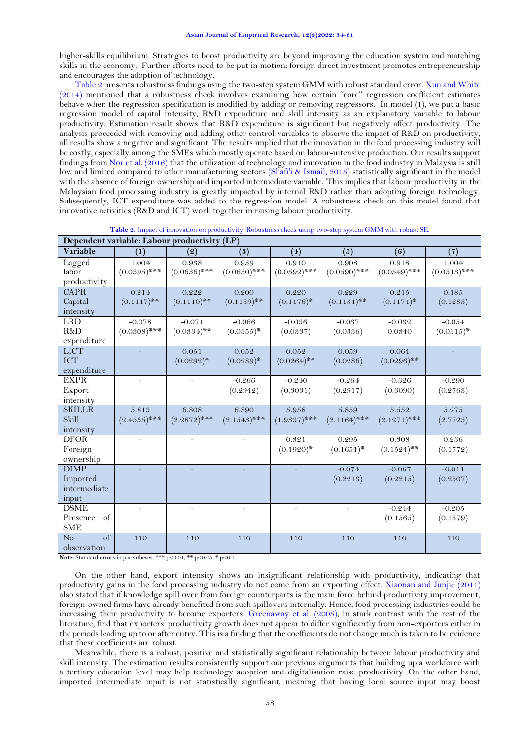higher-skills equilibrium. Strategies to boost productivity are beyond improving the education system and matching skills in the economy. Further efforts need to be put in motion; foreign direct investment promotes entrepreneurship and encourages the adoption of technology.

[Table 2](#page-4-0) presents robustness findings using the two-step system GMM with robust standard error. Xun and White [\(2014\)](#page-6-25) mentioned that a robustness check involves examining how certain ''core'' regression coefficient estimates behave when the regression specification is modified by adding or removing regressors. In model (1), we put a basic regression model of capital intensity, R&D expenditure and skill intensity as an explanatory variable to labour productivity. Estimation result shows that R&D expenditure is significant but negatively affect productivity. The analysis proceeded with removing and adding other control variables to observe the impact of R&D on productivity, all results show a negative and significant. The results implied that the innovation in the food processing industry will be costly, especially among the SMEs which mostly operate based on labour-intensive production. Our results support findings fro[m Nor et al. \(2016\)](#page-6-2) that the utilization of technology and innovation in the food industry in Malaysia is still low and limited compared to other manufacturing sectors [\(Shafi'i & Ismail, 2015\)](#page-6-18) statistically significant in the model with the absence of foreign ownership and imported intermediate variable. This implies that labour productivity in the Malaysian food processing industry is greatly impacted by internal R&D rather than adopting foreign technology. Subsequently, ICT expenditure was added to the regression model. A robustness check on this model found that innovative activities (R&D and ICT) work together in raising labour productivity.

<span id="page-4-0"></span>

| Dependent variable: Labour productivity (LP)     |                            |                           |                          |                         |                         |                         |                          |
|--------------------------------------------------|----------------------------|---------------------------|--------------------------|-------------------------|-------------------------|-------------------------|--------------------------|
| Variable                                         | (1)                        | (2)                       | (3)                      | (4)                     | (5)                     | (6)                     | (7)                      |
| Lagged<br>labor<br>productivity                  | 1.004<br>$(0.0395)$ ***    | 0.938<br>$(0.0636)$ ***   | 0.939<br>$(0.0630)$ ***  | 0.910<br>$(0.0592)$ *** | 0.908<br>$(0.0590)$ *** | 0.918<br>$(0.0549)$ *** | 1.004<br>$(0.0513)$ ***  |
| <b>CAPR</b><br>Capital<br>intensity              | 0.214<br>$(0.1147)$ **     | 0.222<br>$(0.1110)$ **    | 0.200<br>$(0.1139)$ **   | 0.220<br>$(0.1176)$ *   | 0.229<br>$(0.1134)$ **  | 0.215<br>$(0.1174)$ *   | 0.185<br>(0.1283)        |
| <b>LRD</b><br>R&D<br>expenditure                 | $-0.078$<br>$(0.0308)$ *** | $-0.071$<br>$(0.0334)$ ** | $-0.066$<br>$(0.0355)^*$ | $-0.036$<br>(0.0337)    | $-0.037$<br>(0.0336)    | $-0.032$<br>0.0340      | $-0.054$<br>$(0.0315)^*$ |
| <b>LICT</b><br><b>ICT</b><br>expenditure         |                            | 0.051<br>$(0.0292)^*$     | 0.052<br>$(0.0289)*$     | 0.052<br>$(0.0264)$ **  | 0.059<br>(0.0286)       | 0.064<br>$(0.0296)$ **  |                          |
| <b>EXPR</b><br>Export<br>intensity               |                            |                           | $-0.266$<br>(0.2942)     | $-0.240$<br>(0.3031)    | $-0.264$<br>(0.2917)    | $-0.326$<br>(0.3090)    | $-0.290$<br>(0.2763)     |
| <b>SKILLR</b><br>Skill<br>intensity              | 5.813<br>$(2.4535)$ ***    | 6.808<br>$(2.2872)$ ***   | 6.890<br>$(2.1543)$ ***  | 5.958<br>$(1.9337)$ *** | 5.859<br>$(2.1164)$ *** | 5.552<br>$(2.1271)$ *** | 5.275<br>(2.7723)        |
| <b>DFOR</b><br>Foreign<br>ownership              |                            |                           |                          | 0.321<br>$(0.1920)$ *   | 0.295<br>$(0.1651)^*$   | 0.308<br>$(0.1524)$ **  | 0.236<br>(0.1772)        |
| <b>DIMP</b><br>Imported<br>intermediate<br>input |                            |                           |                          |                         | $-0.074$<br>(0.2213)    | $-0.067$<br>(0.2215)    | $-0.011$<br>(0.2507)     |
| <b>DSME</b><br>of<br>Presence<br><b>SME</b>      |                            |                           |                          |                         |                         | $-0.244$<br>(0.1565)    | $-0.205$<br>(0.1579)     |
| $\sigma$<br>No<br>observation                    | 110                        | 110                       | 110                      | 110                     | 110                     | 110                     | 110                      |

**Table 2.** Impact of innovation on productivity: Robustness check using two-step system GMM with robust SE.

Note: Standard errors in parentheses; \*\*\* p<0.01, \*\* p<0.05, \* p<0.1.

On the other hand, export intensity shows an insignificant relationship with productivity, indicating that productivity gains in the food processing industry do not come from an exporting effect. [Xiaonan and Junjie \(2011\)](#page-6-10) also stated that if knowledge spill over from foreign counterparts is the main force behind productivity improvement, foreign-owned firms have already benefited from such spillovers internally. Hence, food processing industries could be increasing their productivity to become exporters. [Greenaway et al. \(2005\)](#page-6-23), in stark contrast with the rest of the literature, find that exporters' productivity growth does not appear to differ significantly from non-exporters either in the periods leading up to or after entry. This is a finding that the coefficients do not change much is taken to be evidence that these coefficients are robust.

Meanwhile, there is a robust, positive and statistically significant relationship between labour productivity and skill intensity. The estimation results consistently support our previous arguments that building up a workforce with a tertiary education level may help technology adoption and digitalisation raise productivity. On the other hand, imported intermediate input is not statistically significant, meaning that having local source input may boost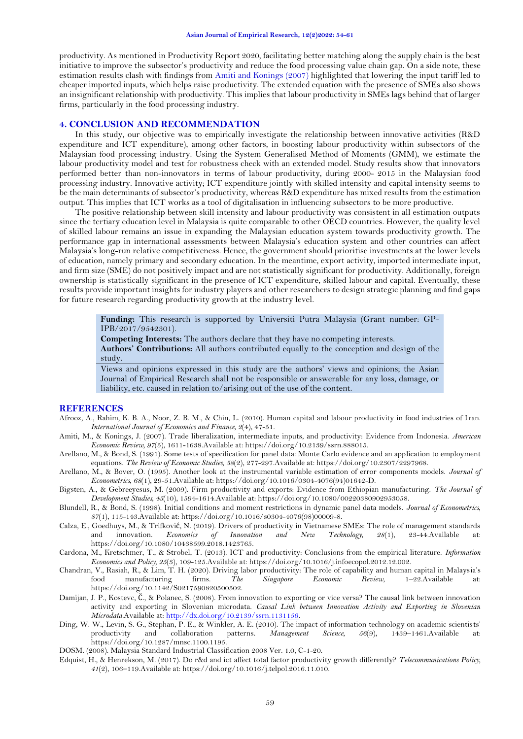productivity. As mentioned in Productivity Report 2020, facilitating better matching along the supply chain is the best initiative to improve the subsector's productivity and reduce the food processing value chain gap. On a side note, these estimation results clash with findings from [Amiti and Konings \(2007\)](#page-5-12) highlighted that lowering the input tariff led to cheaper imported inputs, which helps raise productivity. The extended equation with the presence of SMEs also shows an insignificant relationship with productivity. This implies that labour productivity in SMEs lags behind that of larger firms, particularly in the food processing industry.

# **4. CONCLUSION AND RECOMMENDATION**

In this study, our objective was to empirically investigate the relationship between innovative activities (R&D expenditure and ICT expenditure), among other factors, in boosting labour productivity within subsectors of the Malaysian food processing industry. Using the System Generalised Method of Moments (GMM), we estimate the labour productivity model and test for robustness check with an extended model. Study results show that innovators performed better than non-innovators in terms of labour productivity, during 2000- 2015 in the Malaysian food processing industry. Innovative activity; ICT expenditure jointly with skilled intensity and capital intensity seems to be the main determinants of subsector's productivity, whereas R&D expenditure has mixed results from the estimation output. This implies that ICT works as a tool of digitalisation in influencing subsectors to be more productive.

The positive relationship between skill intensity and labour productivity was consistent in all estimation outputs since the tertiary education level in Malaysia is quite comparable to other OECD countries. However, the quality level of skilled labour remains an issue in expanding the Malaysian education system towards productivity growth. The performance gap in international assessments between Malaysia's education system and other countries can affect Malaysia's long-run relative competitiveness. Hence, the government should prioritise investments at the lower levels of education, namely primary and secondary education. In the meantime, export activity, imported intermediate input, and firm size (SME) do not positively impact and are not statistically significant for productivity. Additionally, foreign ownership is statistically significant in the presence of ICT expenditure, skilled labour and capital. Eventually, these results provide important insights for industry players and other researchers to design strategic planning and find gaps for future research regarding productivity growth at the industry level.

**Funding:** This research is supported by Universiti Putra Malaysia (Grant number: GP-IPB/2017/9542301).

**Competing Interests:** The authors declare that they have no competing interests.

**Authors' Contributions:** All authors contributed equally to the conception and design of the study.

Views and opinions expressed in this study are the authors' views and opinions; the Asian Journal of Empirical Research shall not be responsible or answerable for any loss, damage, or liability, etc. caused in relation to/arising out of the use of the content.

# **REFERENCES**

- <span id="page-5-0"></span>Afrooz, A., Rahim, K. B. A., Noor, Z. B. M., & Chin, L. (2010). Human capital and labour productivity in food industries of Iran. *International Journal of Economics and Finance, 2*(4), 47-51.
- <span id="page-5-12"></span>Amiti, M., & Konings, J. (2007). Trade liberalization, intermediate inputs, and productivity: Evidence from Indonesia. *American Economic Review, 97*(5), 1611-1638.Available at: https://doi.org/10.2139/ssrn.888015.
- <span id="page-5-9"></span>Arellano, M., & Bond, S. (1991). Some tests of specification for panel data: Monte Carlo evidence and an application to employment equations. *The Review of Economic Studies, 58*(2), 277-297.Available at: https://doi.org/10.2307/2297968.
- <span id="page-5-10"></span>Arellano, M., & Bover, O. (1995). Another look at the instrumental variable estimation of error components models. *Journal of Econometrics, 68*(1), 29-51.Available at: https://doi.org/10.1016/0304-4076(94)01642-D.
- <span id="page-5-4"></span>Bigsten, A., & Gebreeyesus, M. (2009). Firm productivity and exports: Evidence from Ethiopian manufacturing. *The Journal of Development Studies, 45*(10), 1594-1614.Available at: https://doi.org/10.1080/00220380902953058.
- <span id="page-5-11"></span>Blundell, R., & Bond, S. (1998). Initial conditions and moment restrictions in dynamic panel data models. *Journal of Econometrics, 87*(1), 115-143.Available at: https://doi.org/10.1016/s0304-4076(98)00009-8.
- <span id="page-5-7"></span>Calza, E., Goedhuys, M., & Trifković, N. (2019). Drivers of productivity in Vietnamese SMEs: The role of management standards<br>and innovation. *Economics of Innovation and New Technology*, 28(1), 23-44. Available at: and innovation. *Economics of Innovation and New Technology, 28*(1), 23-44.Available at: https://doi.org/10.1080/10438599.2018.1423765.
- <span id="page-5-2"></span>Cardona, M., Kretschmer, T., & Strobel, T. (2013). ICT and productivity: Conclusions from the empirical literature. *Information Economics and Policy, 25*(3), 109-125.Available at: https://doi.org/10.1016/j.infoecopol.2012.12.002.
- <span id="page-5-8"></span>Chandran, V., Rasiah, R., & Lim, T. H. (2020). Driving labor productivity: The role of capability and human capital in Malaysia's food manufacturing firms. *The Singapore Economic Review*, 1–22.Available at: https://doi.org/10.1142/S0217590820500502.
- <span id="page-5-6"></span>Damijan, J. P., Kostevc, Č., & Polanec, S. (2008). From innovation to exporting or vice versa? The causal link between innovation activity and exporting in Slovenian microdata. *Causal Link between Innovation Activity and Exporting in Slovenian Microdata*.Available at: [http://dx.doi.org/10.2139/ssrn.1131156.](http://dx.doi.org/10.2139/ssrn.1131156)
- <span id="page-5-3"></span>Ding, W. W., Levin, S. G., Stephan, P. E., & Winkler, A. E. (2010). The impact of information technology on academic scientists' productivity and collaboration patterns. *Management Science*, 56(9), 1439–1461. Available at productivity and collaboration patterns. *Management Science, 56*(9), 1439–1461.Available at: https://doi.org/10.1287/mnsc.1100.1195.
- <span id="page-5-5"></span>DOSM. (2008). Malaysia Standard Industrial Classification 2008 Ver. 1.0, C-1-20.
- <span id="page-5-1"></span>Edquist, H., & Henrekson, M. (2017). Do r&d and ict affect total factor productivity growth differently? *Telecommunications Policy, 41*(2), 106–119.Available at: https://doi.org/10.1016/j.telpol.2016.11.010.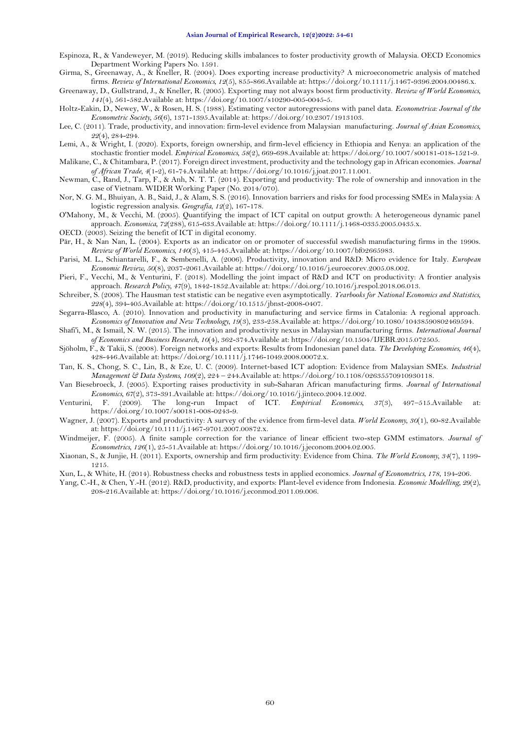<span id="page-6-24"></span>Espinoza, R., & Vandeweyer, M. (2019). Reducing skills imbalances to foster productivity growth of Malaysia. OECD Economics Department Working Papers No. 1591.

<span id="page-6-13"></span>Girma, S., Greenaway, A., & Kneller, R. (2004). Does exporting increase productivity? A microeconometric analysis of matched firms. *Review of International Economics, 12*(5), 855-866.Available at: https://doi.org/10.1111/j.1467-9396.2004.00486.x.

<span id="page-6-23"></span>Greenaway, D., Gullstrand, J., & Kneller, R. (2005). Exporting may not always boost firm productivity. *Review of World Economics, 141*(4), 561-582.Available at: https://doi.org/10.1007/s10290-005-0045-5.

<span id="page-6-0"></span>Holtz-Eakin, D., Newey, W., & Rosen, H. S. (1988). Estimating vector autoregressions with panel data. *Econometrica: Journal of the Econometric Society, 56*(6), 1371-1395.Available at: https://doi.org/10.2307/1913103.

<span id="page-6-1"></span>Lee, C. (2011). Trade, productivity, and innovation: firm-level evidence from Malaysian manufacturing. *Journal of Asian Economics, 22*(4), 284-294.

<span id="page-6-11"></span>Lemi, A., & Wright, I. (2020). Exports, foreign ownership, and firm-level efficiency in Ethiopia and Kenya: an application of the stochastic frontier model. *Empirical Economics, 58*(2), 669-698.Available at: https://doi.org/10.1007/s00181-018-1521-9.

<span id="page-6-17"></span>Malikane, C., & Chitambara, P. (2017). Foreign direct investment, productivity and the technology gap in African economies. *Journal of African Trade, 4*(1-2), 61-74.Available at: https://doi.org/10.1016/j.joat.2017.11.001.

<span id="page-6-12"></span>Newman, C., Rand, J., Tarp, F., & Anh, N. T. T. (2014). Exporting and productivity: The role of ownership and innovation in the case of Vietnam. WIDER Working Paper (No. 2014/070).

<span id="page-6-2"></span>Nor, N. G. M., Bhuiyan, A. B., Said, J., & Alam, S. S. (2016). Innovation barriers and risks for food processing SMEs in Malaysia: A logistic regression analysis. *Geografia, 12*(2), 167-178.

<span id="page-6-4"></span>O'Mahony, M., & Vecchi, M. (2005). Quantifying the impact of ICT capital on output growth: A heterogeneous dynamic panel approach. *Economica, 72*(288), 615-633.Available at: https://doi.org/10.1111/j.1468-0335.2005.0435.x.

<span id="page-6-7"></span>OECD. (2003). Seizing the benefit of ICT in digital economy.

<span id="page-6-15"></span>Pär, H., & Nan Nan, L. (2004). Exports as an indicator on or promoter of successful swedish manufacturing firms in the 1990s. *Review of World Economics, 140*(3), 415-445.Available at: https://doi.org/10.1007/bf02665983.

<span id="page-6-5"></span>Parisi, M. L., Schiantarelli, F., & Sembenelli, A. (2006). Productivity, innovation and R&D: Micro evidence for Italy. *European Economic Review, 50*(8), 2037-2061.Available at: https://doi.org/10.1016/j.euroecorev.2005.08.002.

<span id="page-6-9"></span>Pieri, F., Vecchi, M., & Venturini, F. (2018). Modelling the joint impact of R&D and ICT on productivity: A frontier analysis approach. *Research Policy, 47*(9), 1842-1852.Available at: https://doi.org/10.1016/j.respol.2018.06.013.

<span id="page-6-20"></span>Schreiber, S. (2008). The Hausman test statistic can be negative even asymptotically. *Yearbooks for National Economics and Statistics, 228*(4), 394-405.Available at: https://doi.org/10.1515/jbnst-2008-0407.

<span id="page-6-3"></span>Segarra-Blasco, A. (2010). Innovation and productivity in manufacturing and service firms in Catalonia: A regional approach. *Economics of Innovation and New Technology, 19*(3), 233-258.Available at: https://doi.org/10.1080/10438590802469594.

<span id="page-6-18"></span>Shafi'i, M., & Ismail, N. W. (2015). The innovation and productivity nexus in Malaysian manufacturing firms. *International Journal of Economics and Business Research, 10*(4), 362-374.Available at: https://doi.org/10.1504/IJEBR.2015.072505.

<span id="page-6-19"></span>Sjöholm, F., & Takii, S. (2008). Foreign networks and exports: Results from Indonesian panel data. *The Developing Economies, 46*(4), 428-446.Available at: https://doi.org/10.1111/j.1746-1049.2008.00072.x.

<span id="page-6-6"></span>Tan, K. S., Chong, S. C., Lin, B., & Eze, U. C. (2009). Internet‐based ICT adoption: Evidence from Malaysian SMEs. *Industrial Management & Data Systems, 109*(2), 224 – 244.Available at: https://doi.org/10.1108/02635570910930118.

<span id="page-6-22"></span>Van Biesebroeck, J. (2005). Exporting raises productivity in sub-Saharan African manufacturing firms. *Journal of International Economics, 67*(2), 373-391.Available at: https://doi.org/10.1016/j.jinteco.2004.12.002.

<span id="page-6-8"></span>Venturini, F. (2009). The long-run Impact of ICT. *Empirical Economics, 37*(3), 497–515.Available at: https://doi.org/10.1007/s00181-008-0243-9.

<span id="page-6-14"></span>Wagner, J. (2007). Exports and productivity: A survey of the evidence from firm-level data. *World Economy, 30*(1), 60-82.Available at: https://doi.org/10.1111/j.1467-9701.2007.00872.x.

<span id="page-6-21"></span>Windmeijer, F. (2005). A finite sample correction for the variance of linear efficient two-step GMM estimators. *Journal of Econometrics, 126*(1), 25-51.Available at: https://doi.org/10.1016/j.jeconom.2004.02.005.

<span id="page-6-10"></span>Xiaonan, S., & Junjie, H. (2011). Exports, ownership and firm productivity: Evidence from China. *The World Economy, 34*(7), 1199- 1215.

<span id="page-6-25"></span>Xun, L., & White, H. (2014). Robustness checks and robustness tests in applied economics. *Journal of Econometrics, 178*, 194-206.

<span id="page-6-16"></span>Yang, C.-H., & Chen, Y.-H. (2012). R&D, productivity, and exports: Plant-level evidence from Indonesia. *Economic Modelling, 29*(2), 208-216.Available at: https://doi.org/10.1016/j.econmod.2011.09.006.